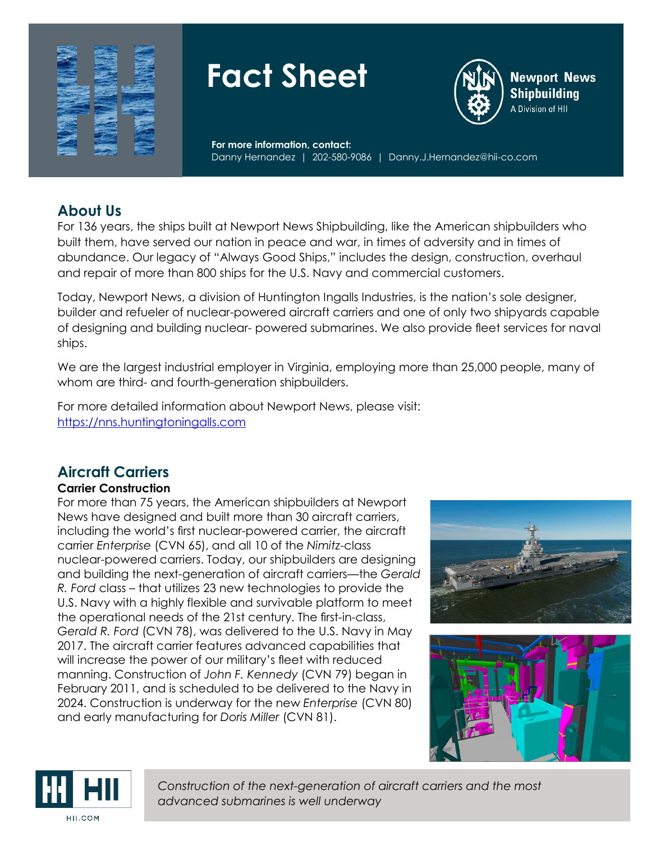

# **Fact Sheet**



**Newport News Shipbuilding** A Division of HII

**For more information, contact:** Danny Hernandez | 202-580-9086 | Danny.J.Hernandez@hii-co.com

## **About Us**

For 136 years, the ships built at Newport News Shipbuilding, like the American shipbuilders who built them, have served our nation in peace and war, in times of adversity and in times of abundance. Our legacy of "Always Good Ships," includes the design, construction, overhaul and repair of more than 800 ships for the U.S. Navy and commercial customers.

Today, Newport News, a division of Huntington Ingalls Industries, is the nation's sole designer, builder and refueler of nuclear-powered aircraft carriers and one of only two shipyards capable of designing and building nuclear- powered submarines. We also provide fleet services for naval ships.

We are the largest industrial employer in Virginia, employing more than 25,000 people, many of whom are third- and fourth-generation shipbuilders.

For more detailed information about Newport News, please visit: [https://nns.huntingtoningalls.com](https://nns.huntingtoningalls.com/)

# **Aircraft Carriers**

## **Carrier Construction**

For more than 75 years, the American shipbuilders at Newport News have designed and built more than 30 aircraft carriers, including the world's first nuclear-powered carrier, the aircraft carrier *Enterprise* (CVN 65), and all 10 of the *Nimitz*-class nuclear-powered carriers. Today, our shipbuilders are designing and building the next-generation of aircraft carriers—the *Gerald R. Ford* class – that utilizes 23 new technologies to provide the U.S. Navy with a highly flexible and survivable platform to meet the operational needs of the 21st century. The first-in-class, *Gerald R. Ford* (CVN 78), was delivered to the U.S. Navy in May 2017. The aircraft carrier features advanced capabilities that will increase the power of our military's fleet with reduced manning. Construction of *John F. Kennedy* (CVN 79) began in February 2011, and is scheduled to be delivered to the Navy in 2024. Construction is underway for the new *Enterprise* (CVN 80) and early manufacturing for *Doris Miller* (CVN 81).







*Construction of the next-generation of aircraft carriers and the most advanced submarines is well underway*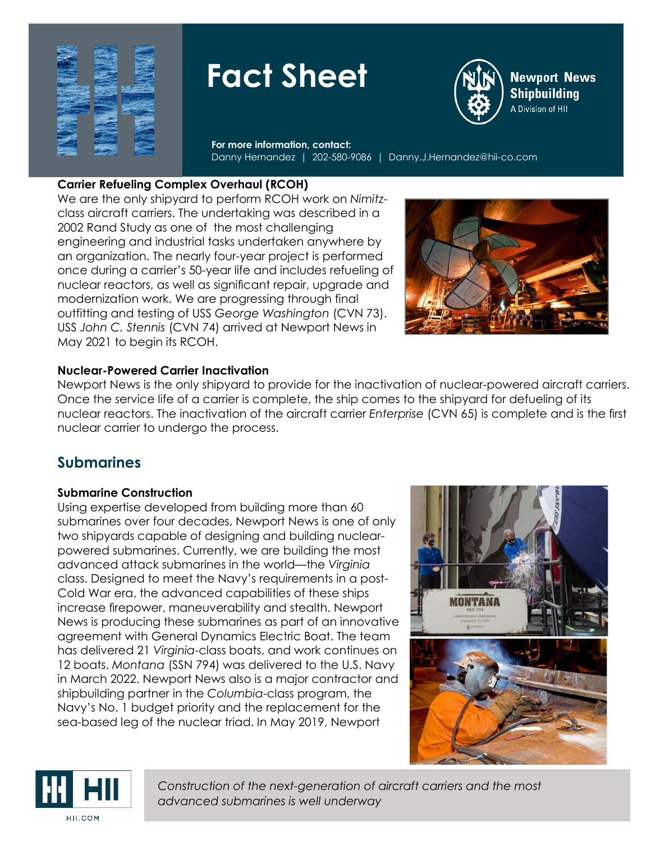

# **Fact Sheet**



**Newport News Shipbuilding** A Division of HII

**For more information, contact:** Danny Hernandez | 202-580-9086 | Danny.J.Hernandez@hii-co.com

## **Carrier Refueling Complex Overhaul (RCOH)**

We are the only shipyard to perform RCOH work on *Nimitz*class aircraft carriers. The undertaking was described in a 2002 Rand Study as one of the most challenging engineering and industrial tasks undertaken anywhere by an organization. The nearly four-year project is performed once during a carrier's 50-year life and includes refueling of nuclear reactors, as well as significant repair, upgrade and modernization work. We are progressing through final outfitting and testing of USS *George Washington* (CVN 73). USS *John C. Stennis* (CVN 74) arrived at Newport News in May 2021 to begin its RCOH.



## **Nuclear-Powered Carrier Inactivation**

Newport News is the only shipyard to provide for the inactivation of nuclear-powered aircraft carriers. Once the service life of a carrier is complete, the ship comes to the shipyard for defueling of its nuclear reactors. The inactivation of the aircraft carrier *Enterprise* (CVN 65) is complete and is the first nuclear carrier to undergo the process.

# **Submarines**

### **Submarine Construction**

Using expertise developed from building more than 60 submarines over four decades, Newport News is one of only two shipyards capable of designing and building nuclearpowered submarines. Currently, we are building the most advanced attack submarines in the world—the *Virginia* class. Designed to meet the Navy's requirements in a post-Cold War era, the advanced capabilities of these ships increase firepower, maneuverability and stealth. Newport News is producing these submarines as part of an innovative agreement with General Dynamics Electric Boat. The team has delivered 21 *Virginia*-class boats, and work continues on 12 boats. *Montana* (SSN 794) was delivered to the U.S. Navy in March 2022. Newport News also is a major contractor and shipbuilding partner in the *Columbia*-class program, the Navy's No. 1 budget priority and the replacement for the sea-based leg of the nuclear triad. In May 2019, Newport





*Construction of the next-generation of aircraft carriers and the most advanced submarines is well underway*